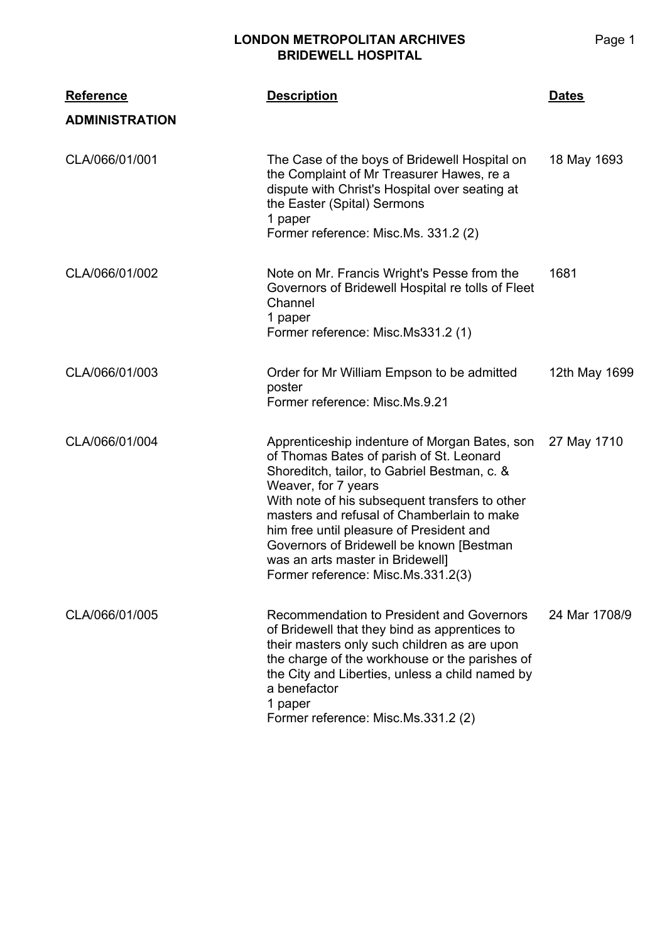## **LONDON METROPOLITAN ARCHIVES BRIDEWELL HOSPITAL**

| <b>Reference</b>      | <b>Description</b>                                                                                                                                                                                                                                                                                                                                                                                                                  | <u>Dates</u>  |
|-----------------------|-------------------------------------------------------------------------------------------------------------------------------------------------------------------------------------------------------------------------------------------------------------------------------------------------------------------------------------------------------------------------------------------------------------------------------------|---------------|
| <b>ADMINISTRATION</b> |                                                                                                                                                                                                                                                                                                                                                                                                                                     |               |
| CLA/066/01/001        | The Case of the boys of Bridewell Hospital on<br>the Complaint of Mr Treasurer Hawes, re a<br>dispute with Christ's Hospital over seating at<br>the Easter (Spital) Sermons<br>1 paper<br>Former reference: Misc.Ms. 331.2 (2)                                                                                                                                                                                                      | 18 May 1693   |
| CLA/066/01/002        | Note on Mr. Francis Wright's Pesse from the<br>Governors of Bridewell Hospital re tolls of Fleet<br>Channel<br>1 paper<br>Former reference: Misc.Ms331.2 (1)                                                                                                                                                                                                                                                                        | 1681          |
| CLA/066/01/003        | Order for Mr William Empson to be admitted<br>poster<br>Former reference: Misc.Ms.9.21                                                                                                                                                                                                                                                                                                                                              | 12th May 1699 |
| CLA/066/01/004        | Apprenticeship indenture of Morgan Bates, son<br>of Thomas Bates of parish of St. Leonard<br>Shoreditch, tailor, to Gabriel Bestman, c. &<br>Weaver, for 7 years<br>With note of his subsequent transfers to other<br>masters and refusal of Chamberlain to make<br>him free until pleasure of President and<br>Governors of Bridewell be known [Bestman]<br>was an arts master in Bridewell]<br>Former reference: Misc.Ms.331.2(3) | 27 May 1710   |
| CLA/066/01/005        | Recommendation to President and Governors<br>of Bridewell that they bind as apprentices to<br>their masters only such children as are upon<br>the charge of the workhouse or the parishes of<br>the City and Liberties, unless a child named by<br>a benefactor<br>1 paper<br>Former reference: Misc.Ms.331.2 (2)                                                                                                                   | 24 Mar 1708/9 |

Page 1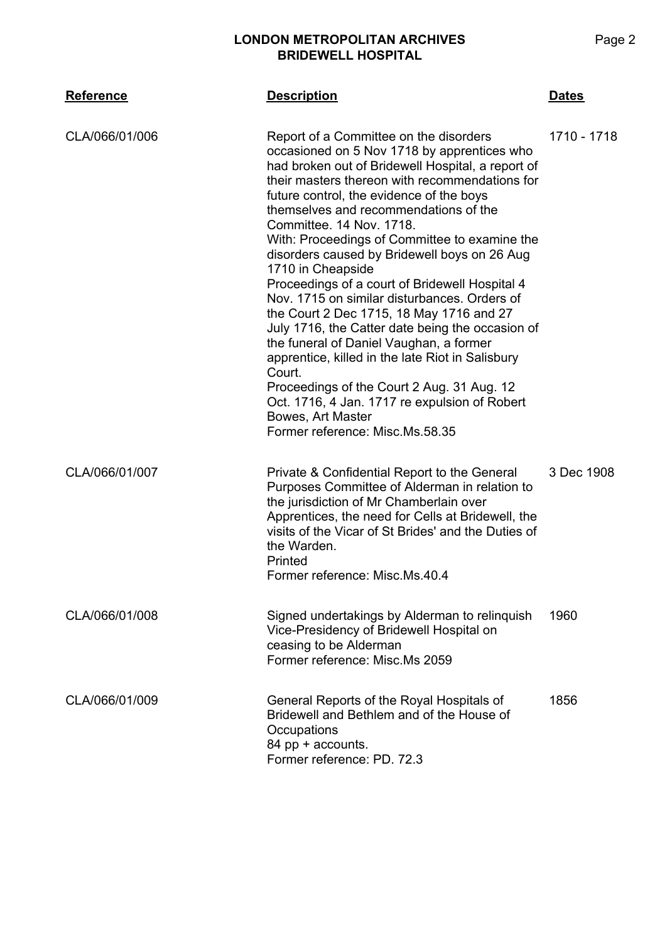## **LONDON METROPOLITAN ARCHIVES BRIDEWELL HOSPITAL**

| <b>Reference</b> | <b>Description</b>                                                                                                                                                                                                                                                                                                                                                                                                                                                                                                                                                                                                                                                                                                                                                                                                                                                                                    | <b>Dates</b> |
|------------------|-------------------------------------------------------------------------------------------------------------------------------------------------------------------------------------------------------------------------------------------------------------------------------------------------------------------------------------------------------------------------------------------------------------------------------------------------------------------------------------------------------------------------------------------------------------------------------------------------------------------------------------------------------------------------------------------------------------------------------------------------------------------------------------------------------------------------------------------------------------------------------------------------------|--------------|
| CLA/066/01/006   | Report of a Committee on the disorders<br>occasioned on 5 Nov 1718 by apprentices who<br>had broken out of Bridewell Hospital, a report of<br>their masters thereon with recommendations for<br>future control, the evidence of the boys<br>themselves and recommendations of the<br>Committee, 14 Nov. 1718.<br>With: Proceedings of Committee to examine the<br>disorders caused by Bridewell boys on 26 Aug<br>1710 in Cheapside<br>Proceedings of a court of Bridewell Hospital 4<br>Nov. 1715 on similar disturbances. Orders of<br>the Court 2 Dec 1715, 18 May 1716 and 27<br>July 1716, the Catter date being the occasion of<br>the funeral of Daniel Vaughan, a former<br>apprentice, killed in the late Riot in Salisbury<br>Court.<br>Proceedings of the Court 2 Aug. 31 Aug. 12<br>Oct. 1716, 4 Jan. 1717 re expulsion of Robert<br>Bowes, Art Master<br>Former reference: Misc.Ms.58.35 | 1710 - 1718  |
| CLA/066/01/007   | Private & Confidential Report to the General<br>Purposes Committee of Alderman in relation to<br>the jurisdiction of Mr Chamberlain over<br>Apprentices, the need for Cells at Bridewell, the<br>visits of the Vicar of St Brides' and the Duties of<br>the Warden.<br>Printed<br>Former reference: Misc.Ms.40.4                                                                                                                                                                                                                                                                                                                                                                                                                                                                                                                                                                                      | 3 Dec 1908   |
| CLA/066/01/008   | Signed undertakings by Alderman to relinquish<br>Vice-Presidency of Bridewell Hospital on<br>ceasing to be Alderman<br>Former reference: Misc.Ms 2059                                                                                                                                                                                                                                                                                                                                                                                                                                                                                                                                                                                                                                                                                                                                                 | 1960         |
| CLA/066/01/009   | General Reports of the Royal Hospitals of<br>Bridewell and Bethlem and of the House of<br>Occupations<br>84 pp + accounts.<br>Former reference: PD, 72.3                                                                                                                                                                                                                                                                                                                                                                                                                                                                                                                                                                                                                                                                                                                                              | 1856         |